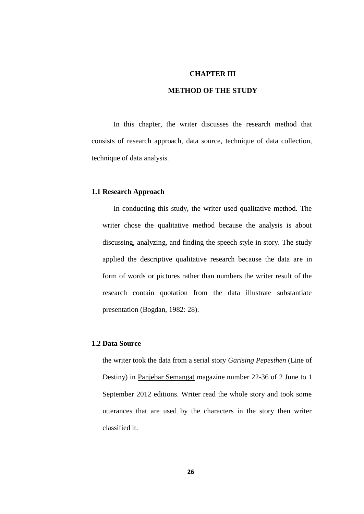### **CHAPTER III**

# **METHOD OF THE STUDY**

In this chapter, the writer discusses the research method that consists of research approach, data source, technique of data collection, technique of data analysis.

### **1.1 Research Approach**

In conducting this study, the writer used qualitative method. The writer chose the qualitative method because the analysis is about discussing, analyzing, and finding the speech style in story. The study applied the descriptive qualitative research because the data are in form of words or pictures rather than numbers the writer result of the research contain quotation from the data illustrate substantiate presentation (Bogdan, 1982: 28).

## **1.2 Data Source**

the writer took the data from a serial story *Garising Pepesthen* (Line of Destiny) in Panjebar Semangat magazine number 22-36 of 2 June to 1 September 2012 editions. Writer read the whole story and took some utterances that are used by the characters in the story then writer classified it.